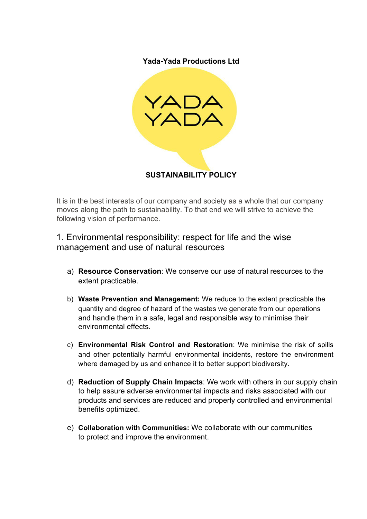**Yada-Yada Productions Ltd**



It is in the best interests of our company and society as a whole that our company moves along the path to sustainability. To that end we will strive to achieve the following vision of performance.

1. Environmental responsibility: respect for life and the wise management and use of natural resources

- a) **Resource Conservation**: We conserve our use of natural resources to the extent practicable.
- b) **Waste Prevention and Management:** We reduce to the extent practicable the quantity and degree of hazard of the wastes we generate from our operations and handle them in a safe, legal and responsible way to minimise their environmental effects.
- c) **Environmental Risk Control and Restoration**: We minimise the risk of spills and other potentially harmful environmental incidents, restore the environment where damaged by us and enhance it to better support biodiversity.
- d) **Reduction of Supply Chain Impacts**: We work with others in our supply chain to help assure adverse environmental impacts and risks associated with our products and services are reduced and properly controlled and environmental benefits optimized.
- e) **Collaboration with Communities:** We collaborate with our communities to protect and improve the environment.